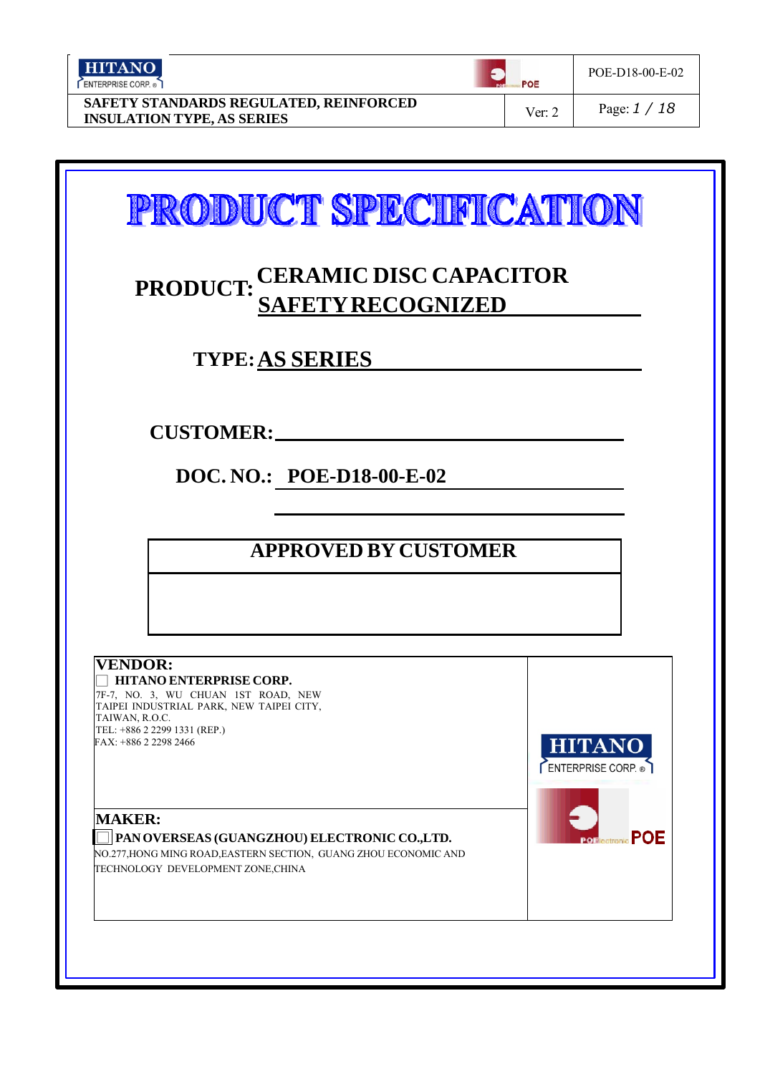| <b>HITANO</b><br>ENTERPRISE CORP.                                           |  | POE    | POE-D18-00-E-02 |  |
|-----------------------------------------------------------------------------|--|--------|-----------------|--|
| SAFETY STANDARDS REGULATED, REINFORCED<br><b>INSULATION TYPE, AS SERIES</b> |  | Ver: 2 | Page: $1/18$    |  |

|                                  | PRODUCT: CERAMIC DISC CAPACITOR                                                                                                                                     | <b>SAFETY RECOGNIZED</b>           |                                |  |
|----------------------------------|---------------------------------------------------------------------------------------------------------------------------------------------------------------------|------------------------------------|--------------------------------|--|
|                                  |                                                                                                                                                                     | <b>TYPE: AS SERIES</b>             |                                |  |
|                                  | <b>CUSTOMER:</b>                                                                                                                                                    |                                    |                                |  |
|                                  |                                                                                                                                                                     | DOC. NO.: POE-D18-00-E-02          |                                |  |
|                                  |                                                                                                                                                                     | <b>APPROVED BY CUSTOMER</b>        |                                |  |
|                                  |                                                                                                                                                                     |                                    |                                |  |
| <b>VENDOR:</b><br>TAIWAN, R.O.C. | HITANO ENTERPRISE CORP.<br>7F-7, NO. 3, WU CHUAN 1ST ROAD, NEW<br>TAIPEI INDUSTRIAL PARK, NEW TAIPEI CITY,<br>TEL: +886 2 2299 1331 (REP.)<br>FAX: +886 2 2298 2466 |                                    | <b>HITANO</b>                  |  |
| <b>MAKER:</b>                    | PAN OVERSEAS (GUANGZHOU) ELECTRONIC CO.,LTD.<br>NO.277, HONG MING ROAD, EASTERN SECTION, GUANG ZHOU ECONOMIC AND                                                    | TECHNOLOGY DEVELOPMENT ZONE, CHINA | ENTERPRISE CORP.<br><b>POE</b> |  |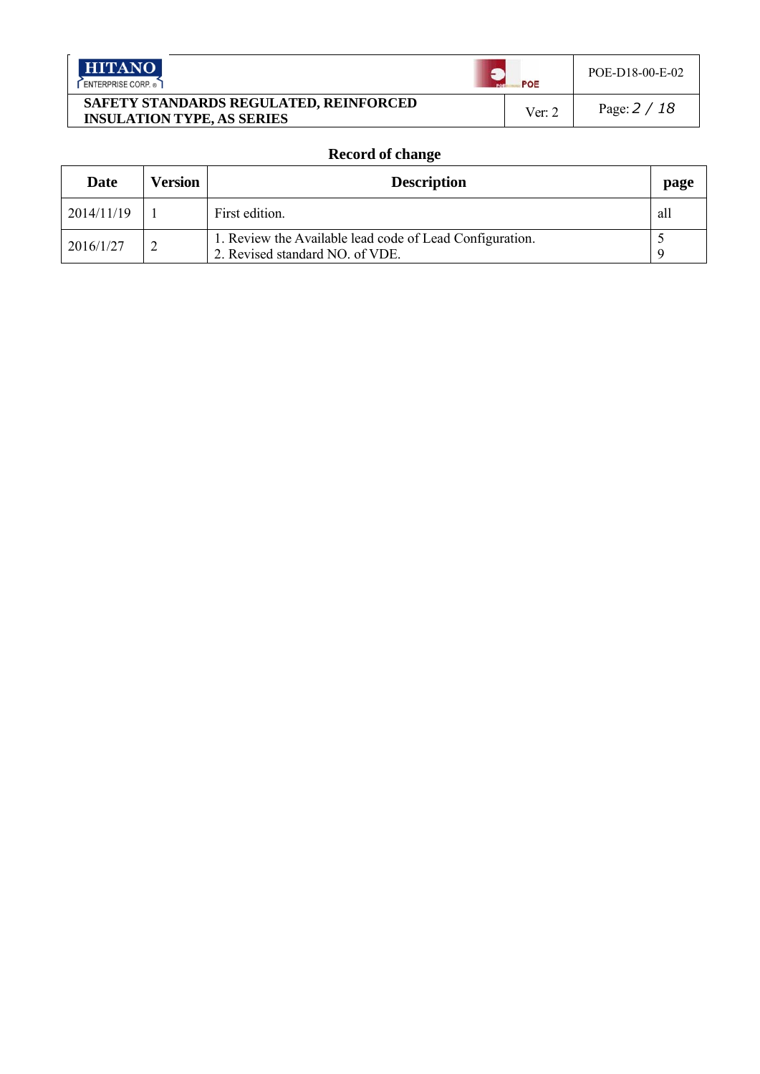| <b>HITANO</b>                                                               |  | POE-D18-00-E-02          |
|-----------------------------------------------------------------------------|--|--------------------------|
| ENTERPRISE CORP.                                                            |  | POE                      |
| SAFETY STANDARDS REGULATED, REINFORCED<br><b>INSULATION TYPE, AS SERIES</b> |  | Page: $2/18$<br>Ver: $2$ |

## **Record of change**

| Date       | <b>Version</b> | <b>Description</b>                                                                          | page |
|------------|----------------|---------------------------------------------------------------------------------------------|------|
| 2014/11/19 |                | First edition.                                                                              | all  |
| 2016/1/27  |                | 1. Review the Available lead code of Lead Configuration.<br>2. Revised standard NO. of VDE. |      |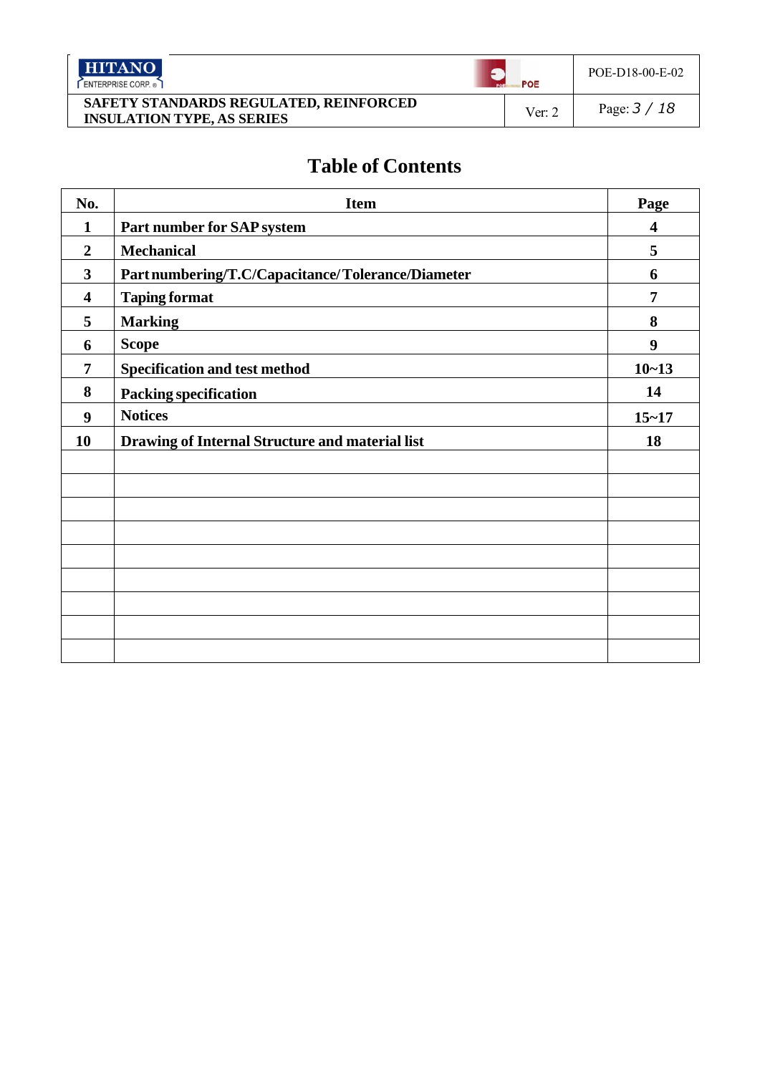| <b>HITANO</b><br>ENTERPRISE CORP.                                           | POE    | POE-D18-00-E-02 |
|-----------------------------------------------------------------------------|--------|-----------------|
| SAFETY STANDARDS REGULATED, REINFORCED<br><b>INSULATION TYPE, AS SERIES</b> | Ver: 2 | Page: $3/18$    |

# **Table of Contents**

| No.                     | <b>Item</b>                                       | Page                    |
|-------------------------|---------------------------------------------------|-------------------------|
| $\mathbf{1}$            | Part number for SAP system                        | $\overline{\mathbf{4}}$ |
| $\overline{2}$          | <b>Mechanical</b>                                 | 5                       |
| $\mathbf{3}$            | Part numbering/T.C/Capacitance/Tolerance/Diameter | 6                       |
| $\overline{\mathbf{4}}$ | <b>Taping format</b>                              | 7                       |
| 5                       | <b>Marking</b>                                    | 8                       |
| 6                       | <b>Scope</b>                                      | 9                       |
| 7                       | <b>Specification and test method</b>              | $10 - 13$               |
| 8                       | <b>Packing specification</b>                      | 14                      |
| 9                       | <b>Notices</b>                                    | $15 - 17$               |
| 10                      | Drawing of Internal Structure and material list   | 18                      |
|                         |                                                   |                         |
|                         |                                                   |                         |
|                         |                                                   |                         |
|                         |                                                   |                         |
|                         |                                                   |                         |
|                         |                                                   |                         |
|                         |                                                   |                         |
|                         |                                                   |                         |
|                         |                                                   |                         |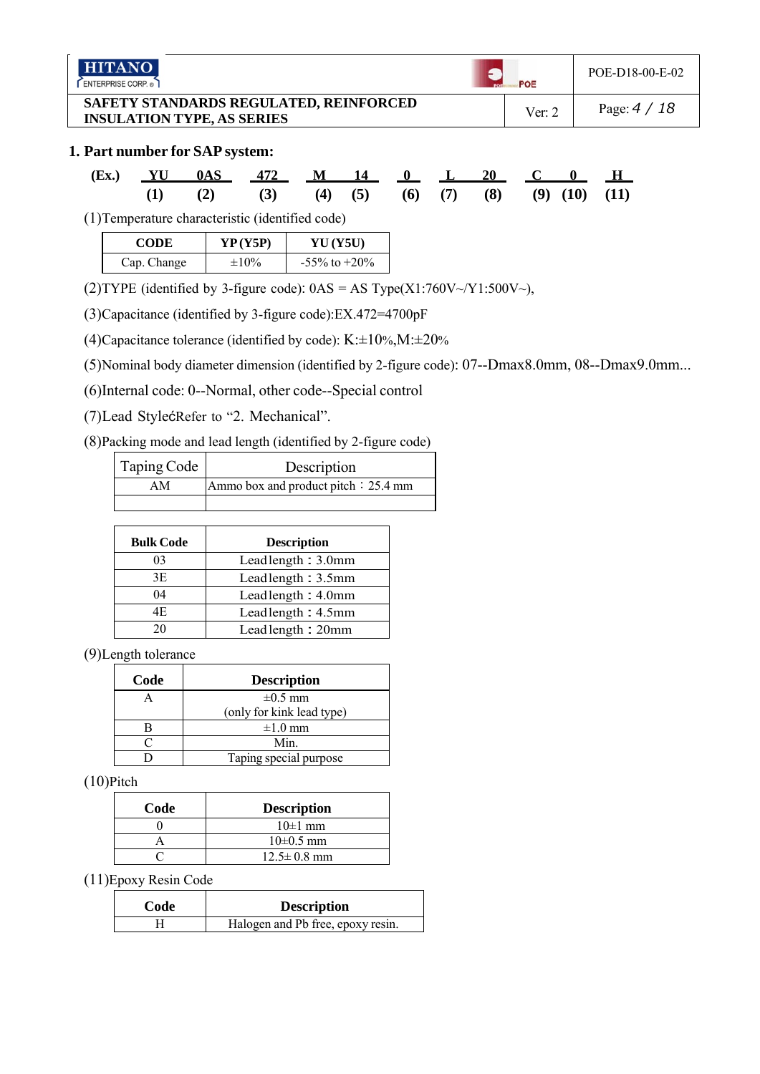| <b>HITANO</b> |
|---------------|
|---------------|

ENTERPRISE CORP.

## **1. Part number for SAP system:**

|  | (Ex.) YU 0AS 472 M 14 0 L 20 C 0 H            |  |  |  |  |  |
|--|-----------------------------------------------|--|--|--|--|--|
|  | (1) (2) (3) (4) (5) (6) (7) (8) (9) (10) (11) |  |  |  |  |  |

(1)Temperature characteristic (identified code)

| <b>CODE</b> | YP(Y5P)    | <b>YU</b> ( <b>Y5U</b> ) |
|-------------|------------|--------------------------|
| Cap. Change | $\pm 10\%$ | $-55\%$ to $+20\%$       |

(2)TYPE (identified by 3-figure code):  $0AS = AS Type(X1:760V \sim Y1:500V \sim)$ ,

(3)Capacitance (identified by 3-figure code):EX.472=4700pF

(4)Capacitance tolerance (identified by code):  $K: \pm 10\%, M: \pm 20\%$ 

(5)Nominal body diameter dimension (identified by 2-figure code): 07--Dmax8.0mm, 08--Dmax9.0mm...

(6)Internal code: 0--Normal, other code--Special control

(7)Lead StylećRefer to "2. Mechanical".

(8)Packing mode and lead length (identified by 2-figure code)

| Taping Code | Description                          |  |
|-------------|--------------------------------------|--|
| AM          | Ammo box and product pitch : 25.4 mm |  |
|             |                                      |  |

| <b>Bulk Code</b> | <b>Description</b> |
|------------------|--------------------|
| 03               | Leadlength: 3.0mm  |
| 3E               | Leadlength: 3.5mm  |
| 04               | Leadlength: 4.0mm  |
| 4E               | Leadlength: 4.5mm  |
|                  | Leadlength: 20mm   |

(9)Length tolerance

| Code | <b>Description</b>        |  |
|------|---------------------------|--|
|      | $\pm 0.5$ mm              |  |
|      | (only for kink lead type) |  |
|      | $\pm 1.0$ mm              |  |
|      | Min.                      |  |
|      | Taping special purpose    |  |

(10)Pitch

| Code | <b>Description</b> |
|------|--------------------|
|      | $10\pm1$ mm        |
|      | $10\pm 0.5$ mm     |
|      | $12.5 \pm 0.8$ mm  |

(11)Epoxy Resin Code

| Code | <b>Description</b>                |
|------|-----------------------------------|
|      | Halogen and Pb free, epoxy resin. |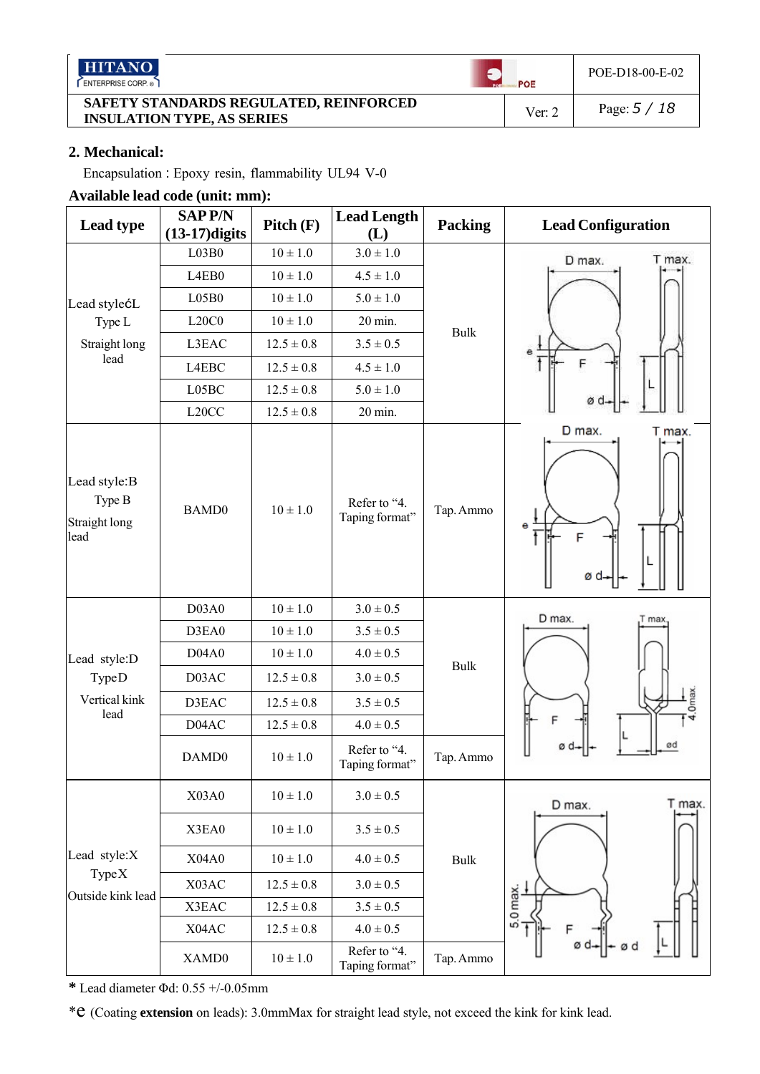|--|--|--|--|--|--|--|

ENTERPRISE CORP.

#### **SAFETY STANDARDS REGULATED, REINFORCED INSULATION TYPE, AS SERIES** INSULATION TYPE, AS SERIES

 $\bullet$ 

POE

POE-D18-00-E-02

## **2. Mechanical:**

Encapsulation : Epoxy resin, flammability UL94 V-0

## **Available lead code (unit: mm):**

| Lead type                                       | <b>SAPP/N</b><br>$(13-17)$ digits | Pitch(F)       | <b>Lead Length</b><br>(L)      | <b>Packing</b> | <b>Lead Configuration</b>  |
|-------------------------------------------------|-----------------------------------|----------------|--------------------------------|----------------|----------------------------|
|                                                 | L03B0                             | $10 \pm 1.0$   | $3.0 \pm 1.0$                  |                | T max.<br>D max.           |
|                                                 | L4EB0                             | $10 \pm 1.0$   | $4.5 \pm 1.0$                  |                |                            |
| Lead stylećL                                    | L05B0                             | $10 \pm 1.0$   | $5.0 \pm 1.0$                  |                |                            |
| Type L                                          | L20C0                             | $10 \pm 1.0$   | 20 min.                        | <b>Bulk</b>    |                            |
| Straight long                                   | L3EAC                             | $12.5 \pm 0.8$ | $3.5 \pm 0.5$                  |                |                            |
| lead                                            | L4EBC                             | $12.5 \pm 0.8$ | $4.5 \pm 1.0$                  |                | F                          |
|                                                 | L05BC                             | $12.5 \pm 0.8$ | $5.0 \pm 1.0$                  |                | øα                         |
|                                                 | L <sub>20</sub> CC                | $12.5 \pm 0.8$ | 20 min.                        |                |                            |
| Lead style:B<br>Type B<br>Straight long<br>lead | BAMD0                             | $10 \pm 1.0$   | Refer to "4.<br>Taping format" | Tap. Ammo      | D max.<br>T max.<br>е<br>F |
| Lead style:D                                    | D03A0                             | $10 \pm 1.0$   | $3.0 \pm 0.5$                  |                | D max.<br>Γ max            |
|                                                 | D3EA0                             | $10 \pm 1.0$   | $3.5 \pm 0.5$                  |                |                            |
|                                                 | D04A0                             | $10 \pm 1.0$   | $4.0 \pm 0.5$                  | <b>Bulk</b>    |                            |
| <b>TypeD</b>                                    | D03AC                             | $12.5 \pm 0.8$ | $3.0 \pm 0.5$                  |                |                            |
| Vertical kink                                   | D3EAC                             | $12.5 \pm 0.8$ | $3.5 \pm 0.5$                  |                |                            |
| lead                                            | D04AC                             | $12.5 \pm 0.8$ | $4.0 \pm 0.5$                  |                |                            |
|                                                 | DAMD0                             | $10 \pm 1.0$   | Refer to "4.<br>Taping format" | Tap. Ammo      | ød                         |
|                                                 | X03A0                             | $10 \pm 1.0$   | $3.0 \pm 0.5$                  |                | T max.<br>D max.           |
|                                                 | X3EA0                             | $10\pm1.0$     | $3.5 \pm 0.5$                  |                |                            |
| Lead style:X                                    | X04A0                             | $10\pm1.0$     | $4.0 \pm 0.5$                  | <b>Bulk</b>    |                            |
| Type X<br>Outside kink lead                     | X03AC                             | $12.5\pm0.8$   | $3.0 \pm 0.5$                  |                |                            |
|                                                 | X3EAC                             | $12.5\pm0.8$   | $3.5 \pm 0.5$                  |                | 5.0 max.                   |
|                                                 | X04AC                             | $12.5\pm0.8$   | $4.0 \pm 0.5$                  |                |                            |
|                                                 | XAMD0                             | $10 \pm 1.0$   | Refer to "4.<br>Taping format" | Tap. Ammo      |                            |

**\*** Lead diameter Φd: 0.55 +/-0.05mm

\*e (Coating **extension** on leads): 3.0mmMax for straight lead style, not exceed the kink for kink lead.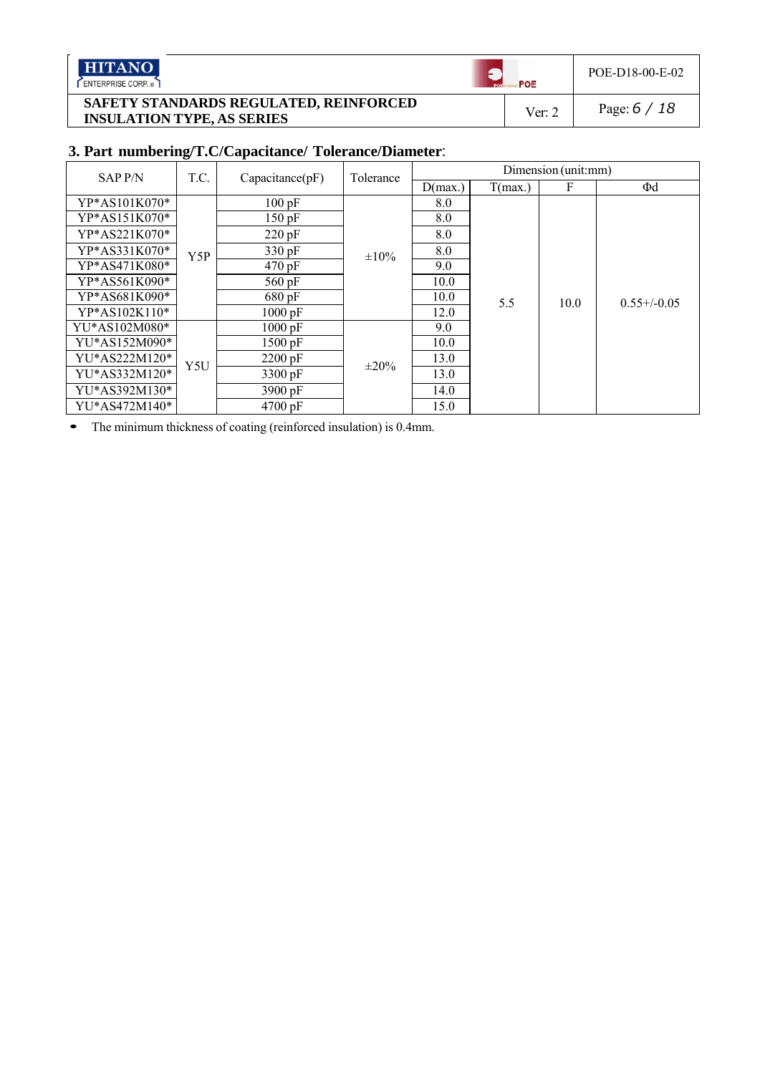**HITANO** 

ENTERPRISE CORP.

## **SAFETY STANDARDS REGULATED, REINFORCED INSULATION TYPE, AS SERIES** INSULATION TYPE, AS SERIES

POE-D18-00-E-02

 $\bullet$ 

POE

## **3. Part numbering/T.C/Capacitance/ Tolerance/Diameter**:

| <b>SAPP/N</b> | T.C. | Capacitance(pF)      | Tolerance  |         |         | Dimension (unit:mm) |                  |
|---------------|------|----------------------|------------|---------|---------|---------------------|------------------|
|               |      |                      |            | D(max.) | T(max.) | F                   | $\Phi$ d         |
| YP*AS101K070* |      | 100 pF               |            | 8.0     |         |                     |                  |
| YP*AS151K070* |      | $150$ pF             |            | 8.0     |         |                     |                  |
| YP*AS221K070* |      | 220 pF               |            | 8.0     |         |                     |                  |
| YP*AS331K070* | Y5P  | 330 pF               | $\pm 10\%$ | 8.0     |         |                     |                  |
| YP*AS471K080* |      | 470 pF               |            | 9.0     |         |                     |                  |
| YP*AS561K090* |      | $560$ pF             |            | 10.0    |         | 10.0                | $0.55 + (-0.05)$ |
| YP*AS681K090* |      | 680 pF               |            | 10.0    | 5.5     |                     |                  |
| YP*AS102K110* |      | $1000 \text{ pF}$    |            | 12.0    |         |                     |                  |
| YU*AS102M080* |      | $1000 \,\mathrm{pF}$ |            | 9.0     |         |                     |                  |
| YU*AS152M090* |      | $1500 \,\mathrm{pF}$ |            | 10.0    |         |                     |                  |
| YU*AS222M120* | Y5U  | 2200 pF              | $\pm 20\%$ | 13.0    |         |                     |                  |
| YU*AS332M120* |      | 3300 pF              |            | 13.0    |         |                     |                  |
| YU*AS392M130* |      | $3900 \,\mathrm{pF}$ |            | 14.0    |         |                     |                  |
| YU*AS472M140* |      | $4700 \,\mathrm{pF}$ |            | 15.0    |         |                     |                  |

The minimum thickness of coating (reinforced insulation) is 0.4mm.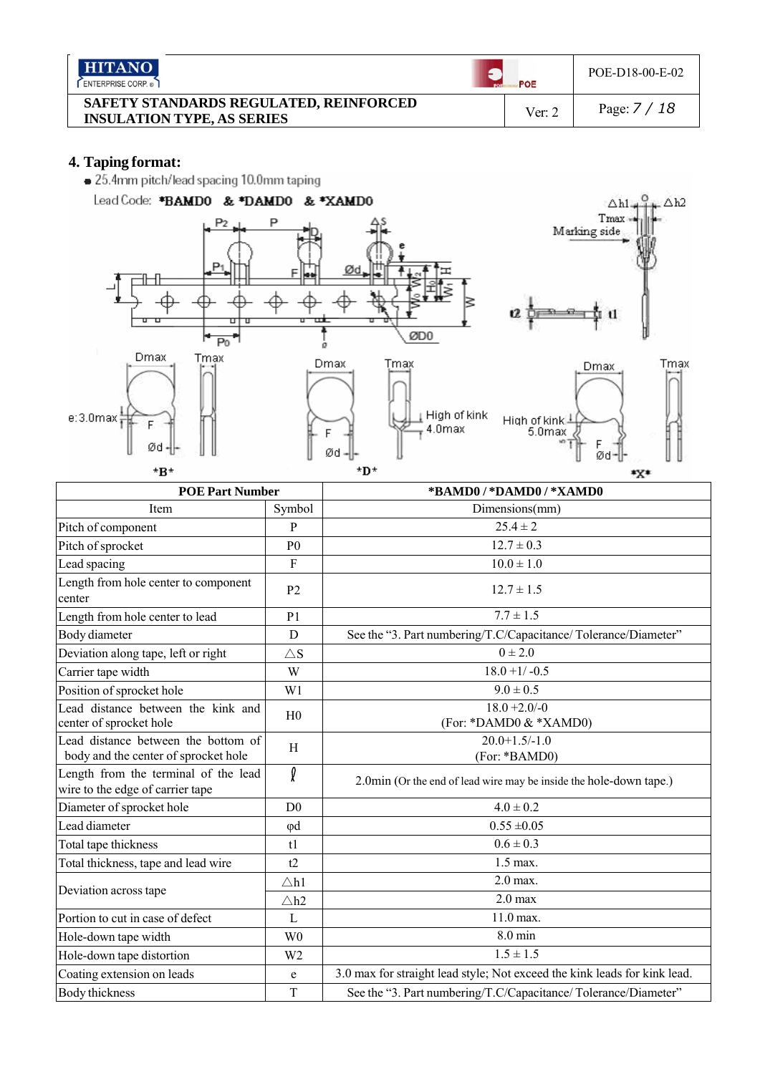| <b>HITANO</b><br>ENTERPRISE CORP.                                           | POE    | POE-D18-00-E-02 |
|-----------------------------------------------------------------------------|--------|-----------------|
| SAFETY STANDARDS REGULATED, REINFORCED<br><b>INSULATION TYPE, AS SERIES</b> | Ver: 2 | Page: $7/18$    |

**4. Taping format:**



|                | *BAMD0/*DAMD0/*XAMD0                                                                                                                        |  |  |  |  |
|----------------|---------------------------------------------------------------------------------------------------------------------------------------------|--|--|--|--|
| Symbol         | Dimensions(mm)                                                                                                                              |  |  |  |  |
| P              | $25.4 \pm 2$                                                                                                                                |  |  |  |  |
| P <sub>0</sub> | $12.7 \pm 0.3$                                                                                                                              |  |  |  |  |
| $\overline{F}$ | $10.0 \pm 1.0$                                                                                                                              |  |  |  |  |
| P <sub>2</sub> | $12.7 \pm 1.5$                                                                                                                              |  |  |  |  |
| P <sub>1</sub> | $7.7 \pm 1.5$                                                                                                                               |  |  |  |  |
| $\mathbf D$    | See the "3. Part numbering/T.C/Capacitance/Tolerance/Diameter"                                                                              |  |  |  |  |
| $\triangle$ S  | $0 \pm 2.0$                                                                                                                                 |  |  |  |  |
| W              | $18.0 + 1/-0.5$                                                                                                                             |  |  |  |  |
| W <sub>1</sub> | $9.0 \pm 0.5$                                                                                                                               |  |  |  |  |
| H <sub>0</sub> | $18.0 + 2.0 / -0$<br>(For: *DAMD0 & *XAMD0)                                                                                                 |  |  |  |  |
| H              | $20.0 + 1.5 - 1.0$<br>(For: *BAMD0)                                                                                                         |  |  |  |  |
| f              | 2.0min (Or the end of lead wire may be inside the hole-down tape.)                                                                          |  |  |  |  |
| D <sub>0</sub> | $4.0 \pm 0.2$                                                                                                                               |  |  |  |  |
| $\varphi$ d    | $0.55 \pm 0.05$                                                                                                                             |  |  |  |  |
| t1             | $0.6 \pm 0.3$                                                                                                                               |  |  |  |  |
| t2             | $1.5$ max.                                                                                                                                  |  |  |  |  |
| $\triangle h1$ | $2.0$ max.                                                                                                                                  |  |  |  |  |
| $\triangle h2$ | $2.0$ max                                                                                                                                   |  |  |  |  |
| $\mathbf{L}$   | 11.0 max.                                                                                                                                   |  |  |  |  |
| W <sub>0</sub> | $8.0$ min                                                                                                                                   |  |  |  |  |
| W <sub>2</sub> | $1.5 \pm 1.5$                                                                                                                               |  |  |  |  |
| $\mathbf e$    | 3.0 max for straight lead style; Not exceed the kink leads for kink lead.                                                                   |  |  |  |  |
| T              | See the "3. Part numbering/T.C/Capacitance/Tolerance/Diameter"                                                                              |  |  |  |  |
|                | <b>POE Part Number</b><br>Lead distance between the kink and<br>Lead distance between the bottom of<br>Length from the terminal of the lead |  |  |  |  |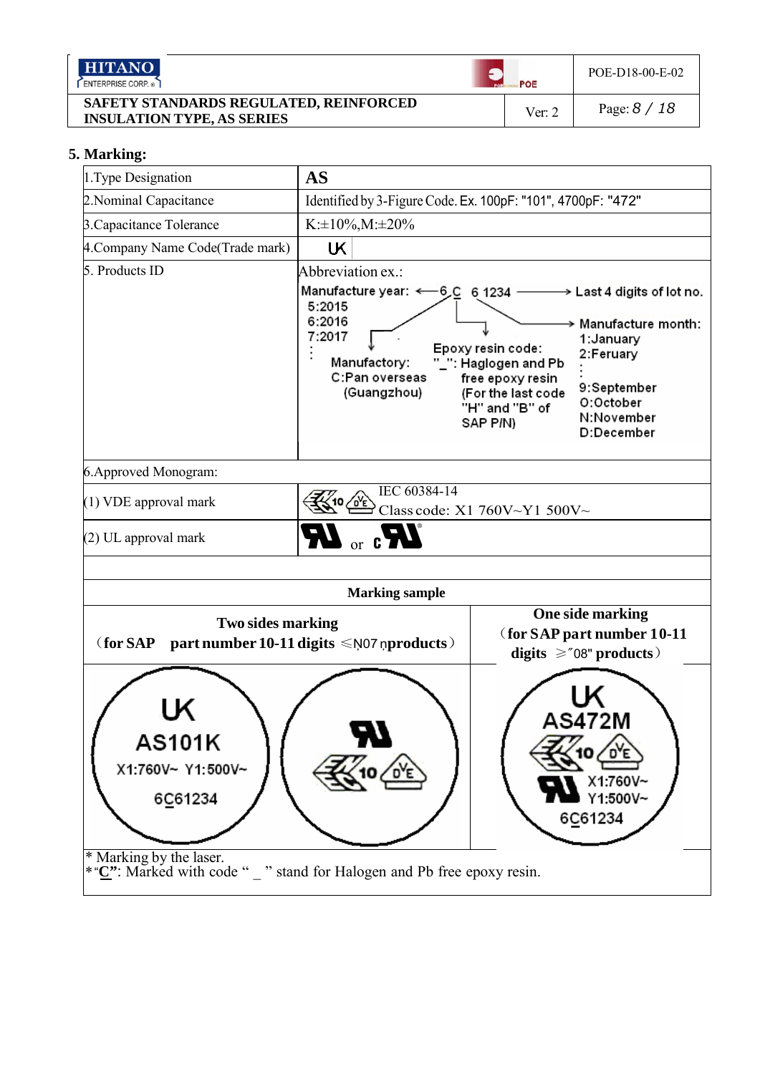| <b>HITANO</b><br>ENTERPRISE CORP.                                           | POE    | POE-D18-00-E-02 |
|-----------------------------------------------------------------------------|--------|-----------------|
| SAFETY STANDARDS REGULATED, REINFORCED<br><b>INSULATION TYPE, AS SERIES</b> | Ver: 2 | Page: $8/18$    |

#### **5. Marking:**

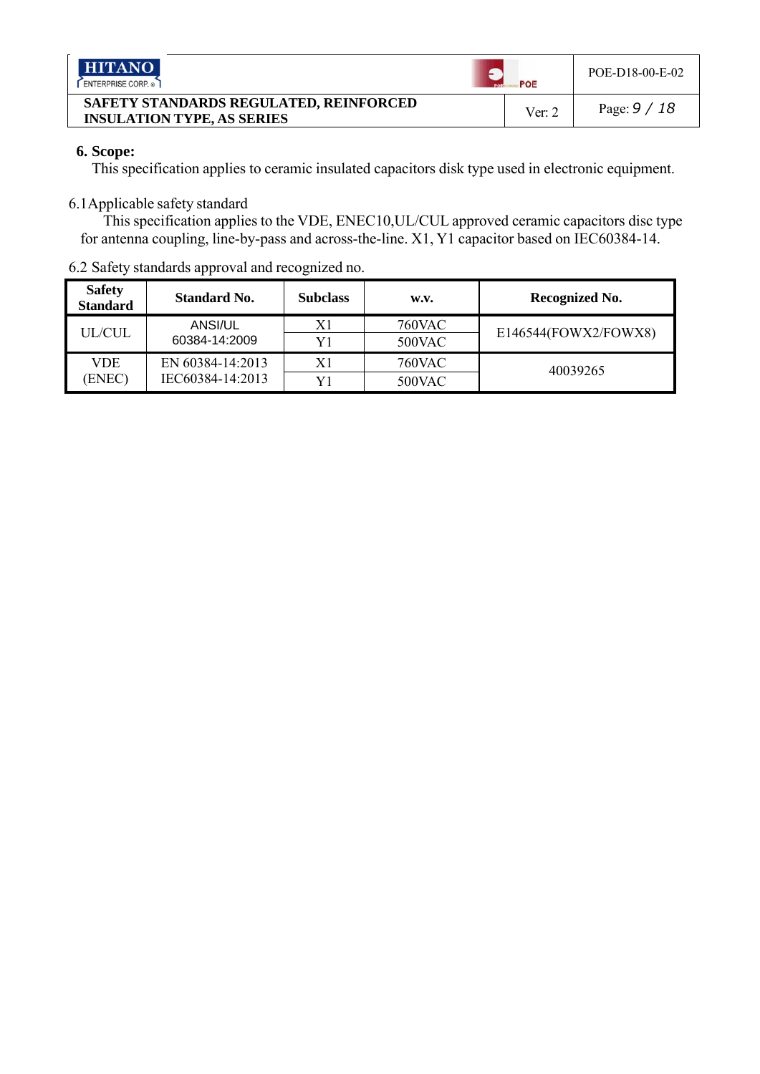| <b>HITANO</b><br>ENTERPRISE CORP. ®                                         | POE      | POE-D18-00-E-02 |
|-----------------------------------------------------------------------------|----------|-----------------|
| SAFETY STANDARDS REGULATED, REINFORCED<br><b>INSULATION TYPE, AS SERIES</b> | Ver: $2$ | Page: $9/18$    |

## **6. Scope:**

This specification applies to ceramic insulated capacitors disk type used in electronic equipment.

## 6.1Applicable safety standard

This specification applies to the VDE, ENEC10,UL/CUL approved ceramic capacitors disc type for antenna coupling, line-by-pass and across-the-line. X1, Y1 capacitor based on IEC60384-14.

| $9.2$ Darcty Standards approval and recognized no. |                                      |                 |                         |                      |  |  |  |
|----------------------------------------------------|--------------------------------------|-----------------|-------------------------|----------------------|--|--|--|
| <b>Safety</b><br><b>Standard</b>                   | <b>Standard No.</b>                  | <b>Subclass</b> | W.V.                    | Recognized No.       |  |  |  |
| <b>UL/CUL</b>                                      | ANSI/UL<br>60384-14:2009             | X1<br>Y1        | <b>760VAC</b><br>500VAC | E146544(FOWX2/FOWX8) |  |  |  |
| VDE.<br>(ENEC)                                     | EN 60384-14:2013<br>IEC60384-14:2013 | X1<br>Y1        | <b>760VAC</b><br>500VAC | 40039265             |  |  |  |

## 6.2 Safety standards approval and recognized no.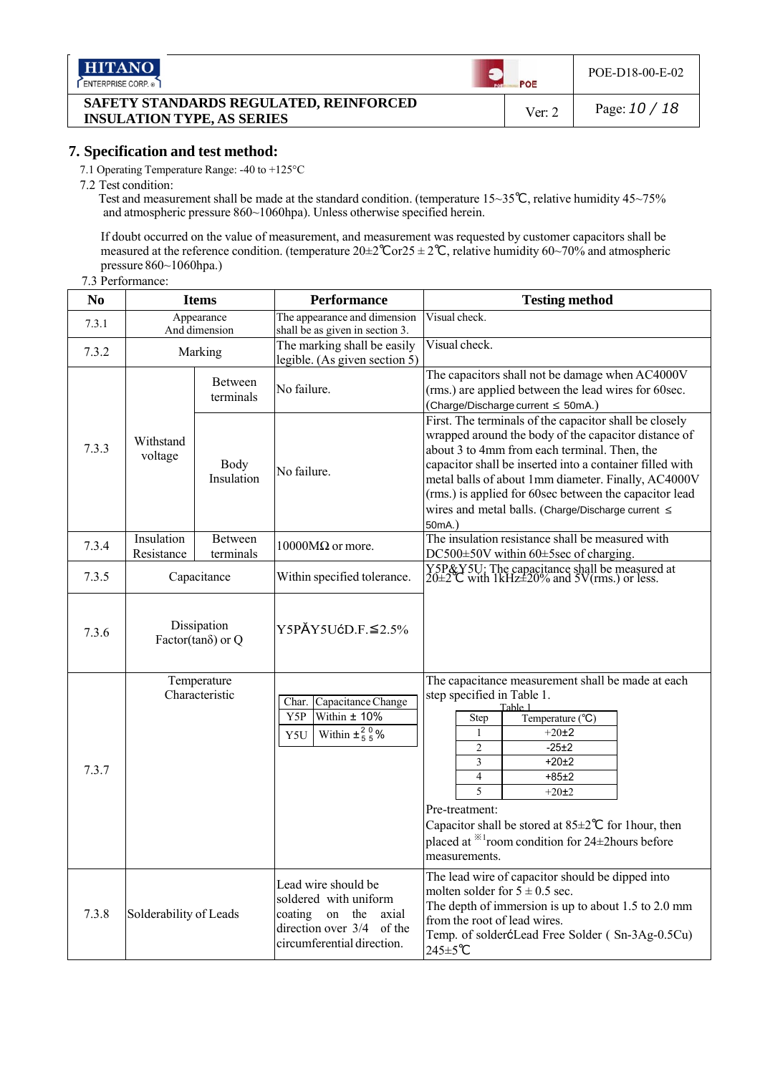| <b>HITANO</b><br>ENTERPRISE CORP.                                           | POE    | POE-D18-00-E-02 |
|-----------------------------------------------------------------------------|--------|-----------------|
| SAFETY STANDARDS REGULATED, REINFORCED<br><b>INSULATION TYPE, AS SERIES</b> | Ver: 2 | Page: $10/18$   |

## **7. Specification and test method:**

7.1 Operating Temperature Range: -40 to +125°C

7.2 Test condition:

Test and measurement shall be made at the standard condition. (temperature 15~35*℃*, relative humidity 45~75% and atmospheric pressure 860~1060hpa). Unless otherwise specified herein.

If doubt occurred on the value of measurement, and measurement was requested by customer capacitors shall be measured at the reference condition. (temperature 20±2*℃*or25 ± 2*℃*, relative humidity 60~70% and atmospheric pressure 860~1060hpa.)

#### 7.3 Performance:

| N <sub>0</sub> | <b>Items</b>                              |                             | <b>Performance</b>                                                                                                                          | <b>Testing method</b>                                                                                                                                                                                                                                                                                                                                                                                                                    |
|----------------|-------------------------------------------|-----------------------------|---------------------------------------------------------------------------------------------------------------------------------------------|------------------------------------------------------------------------------------------------------------------------------------------------------------------------------------------------------------------------------------------------------------------------------------------------------------------------------------------------------------------------------------------------------------------------------------------|
| 7.3.1          |                                           | Appearance<br>And dimension | The appearance and dimension<br>shall be as given in section 3.                                                                             | Visual check.                                                                                                                                                                                                                                                                                                                                                                                                                            |
| 7.3.2          | Marking                                   |                             | The marking shall be easily<br>legible. (As given section 5)                                                                                | Visual check.                                                                                                                                                                                                                                                                                                                                                                                                                            |
|                | Between<br>terminals                      |                             | No failure.                                                                                                                                 | The capacitors shall not be damage when AC4000V<br>(rms.) are applied between the lead wires for 60sec.<br>$(Change/Discharge current \leq 50mA.)$                                                                                                                                                                                                                                                                                       |
| 7.3.3          | Withstand<br>voltage                      | Body<br>Insulation          | No failure.                                                                                                                                 | First. The terminals of the capacitor shall be closely<br>wrapped around the body of the capacitor distance of<br>about 3 to 4mm from each terminal. Then, the<br>capacitor shall be inserted into a container filled with<br>metal balls of about 1mm diameter. Finally, AC4000V<br>(rms.) is applied for 60sec between the capacitor lead<br>wires and metal balls. (Charge/Discharge current ≤<br>50mA.)                              |
| 7.3.4          | Insulation<br>Resistance                  | Between<br>terminals        | $10000M\Omega$ or more.                                                                                                                     | The insulation resistance shall be measured with<br>DC500±50V within 60±5sec of charging.                                                                                                                                                                                                                                                                                                                                                |
| 7.3.5          | Capacitance                               |                             | Within specified tolerance.                                                                                                                 | Y5P&Y5U: The capacitance shall be measured at 20±2 C with 1kHz±20% and 5V(rms.) or less.                                                                                                                                                                                                                                                                                                                                                 |
| 7.3.6          | Dissipation<br>Factor(tan $\delta$ ) or Q |                             | $Y5PÄY5UćD.F.\leq 2.5\%$                                                                                                                    |                                                                                                                                                                                                                                                                                                                                                                                                                                          |
| 7.3.7          | Temperature<br>Characteristic             |                             | Capacitance Change<br>Char.<br>Y5P<br>Within $±$ 10%<br>Within $\pm \frac{2}{5} \frac{0}{5}$ %<br>Y5U                                       | The capacitance measurement shall be made at each<br>step specified in Table 1.<br>Table 1<br>Temperature (°C)<br><b>Step</b><br>$\mathbf{1}$<br>$+20+2$<br>$-25+2$<br>$\overline{c}$<br>3<br>$+20+2$<br>$\overline{4}$<br>$+85±2$<br>$\overline{5}$<br>$+20±2$<br>Pre-treatment:<br>Capacitor shall be stored at $85 \pm 2^{\circ}$ C for 1 hour, then<br>placed at <sup>**</sup> 1room condition for 24±2hours before<br>measurements. |
| 7.3.8          | Solderability of Leads                    |                             | Lead wire should be<br>soldered with uniform<br>coating<br>on<br>the<br>axial<br>direction over 3/4<br>of the<br>circumferential direction. | The lead wire of capacitor should be dipped into<br>molten solder for $5 \pm 0.5$ sec.<br>The depth of immersion is up to about 1.5 to 2.0 mm<br>from the root of lead wires.<br>Temp. of solderćLead Free Solder (Sn-3Ag-0.5Cu)<br>245±5℃                                                                                                                                                                                               |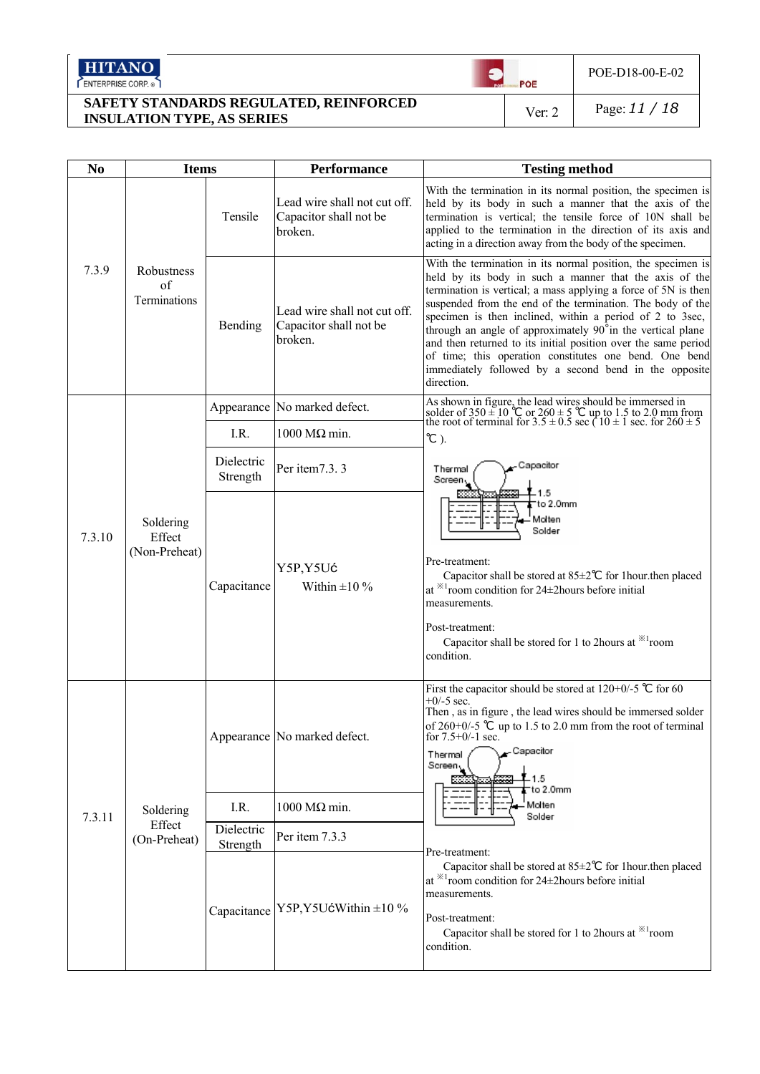HITANO

**SAFETY STANDARDS REGULATED, REINFORCED INSULATION TYPE, AS SERIES** Ver: 2 Page: *11 / 18*

 $POE$ 

 $\bullet$ 

POE-D18-00-E-02

| N <sub>0</sub> | <b>Items</b>                         |                        | <b>Performance</b>                                                                                                                                                                                                                                                                                   | <b>Testing method</b>                                                                                                                                                                                                                                                                                                                                                                                                                                                                                                                                                               |
|----------------|--------------------------------------|------------------------|------------------------------------------------------------------------------------------------------------------------------------------------------------------------------------------------------------------------------------------------------------------------------------------------------|-------------------------------------------------------------------------------------------------------------------------------------------------------------------------------------------------------------------------------------------------------------------------------------------------------------------------------------------------------------------------------------------------------------------------------------------------------------------------------------------------------------------------------------------------------------------------------------|
|                |                                      | Tensile                | Lead wire shall not cut off.<br>Capacitor shall not be<br>broken.                                                                                                                                                                                                                                    | With the termination in its normal position, the specimen is<br>held by its body in such a manner that the axis of the<br>termination is vertical; the tensile force of 10N shall be<br>applied to the termination in the direction of its axis and<br>acting in a direction away from the body of the specimen.                                                                                                                                                                                                                                                                    |
| 7.3.9          | Robustness<br>of<br>Terminations     | Bending                | Lead wire shall not cut off.<br>Capacitor shall not be<br>broken.                                                                                                                                                                                                                                    | With the termination in its normal position, the specimen is<br>held by its body in such a manner that the axis of the<br>termination is vertical; a mass applying a force of 5N is then<br>suspended from the end of the termination. The body of the<br>specimen is then inclined, within a period of 2 to 3sec,<br>through an angle of approximately 90°in the vertical plane<br>and then returned to its initial position over the same period<br>of time; this operation constitutes one bend. One bend<br>immediately followed by a second bend in the opposite<br>direction. |
|                |                                      |                        | Appearance No marked defect.                                                                                                                                                                                                                                                                         | As shown in figure, the lead wires should be immersed in<br>solder of $350 \pm 10$ °C or $260 \pm 5$ °C up to 1.5 to 2.0 mm from<br>the root of terminal for $3.5 \pm 0.5$ sec ( $10 \pm 1$ sec. for $260 \pm 5$                                                                                                                                                                                                                                                                                                                                                                    |
|                |                                      | I.R.                   | $1000$ MΩ min.                                                                                                                                                                                                                                                                                       | $^{\circ}$ C).                                                                                                                                                                                                                                                                                                                                                                                                                                                                                                                                                                      |
| 7.3.10         |                                      | Dielectric<br>Strength | Per item7.3.3                                                                                                                                                                                                                                                                                        | Capacitor<br>Thermal<br>Screen <sub>N</sub>                                                                                                                                                                                                                                                                                                                                                                                                                                                                                                                                         |
|                | Soldering<br>Effect<br>(Non-Preheat) | Capacitance            | Y5P,Y5Uć<br>Within $\pm 10\%$                                                                                                                                                                                                                                                                        | to 2.0mm<br>Molten<br>Solder<br>Pre-treatment:<br>Capacitor shall be stored at $85 \pm 2^{\circ}$ for 1 hour then placed<br>at $*1$ room condition for 24±2 hours before initial<br>measurements.<br>Post-treatment:<br>Capacitor shall be stored for 1 to 2 hours at $*1$ room<br>condition.                                                                                                                                                                                                                                                                                       |
|                | Appearance No marked defect.         |                        | First the capacitor should be stored at $120+0/-5$ °C for 60<br>$+0/-5$ sec.<br>Then, as in figure, the lead wires should be immersed solder<br>of $260+0/5$ °C up to 1.5 to 2.0 mm from the root of terminal<br>for 7.5+0/-1 sec.<br>Capacitor<br>Thermal<br>Screen <sub>L</sub><br>1.5<br>to 2.0mm |                                                                                                                                                                                                                                                                                                                                                                                                                                                                                                                                                                                     |
| 7.3.11         | Soldering                            | I.R.                   | 1000 MΩ min.                                                                                                                                                                                                                                                                                         | Molten<br>Solder                                                                                                                                                                                                                                                                                                                                                                                                                                                                                                                                                                    |
|                | Effect<br>(On-Preheat)               | Dielectric<br>Strength | Per item 7.3.3                                                                                                                                                                                                                                                                                       |                                                                                                                                                                                                                                                                                                                                                                                                                                                                                                                                                                                     |
|                |                                      |                        | Capacitance   Y5P, Y5UćWithin ±10 %                                                                                                                                                                                                                                                                  | Pre-treatment:<br>Capacitor shall be stored at $85 \pm 2^{\circ}$ for 1 hour then placed<br>at $*1$ room condition for 24 $\pm$ 2 hours before initial<br>measurements.<br>Post-treatment:<br>Capacitor shall be stored for 1 to 2hours at *1 <sup>room</sup><br>condition.                                                                                                                                                                                                                                                                                                         |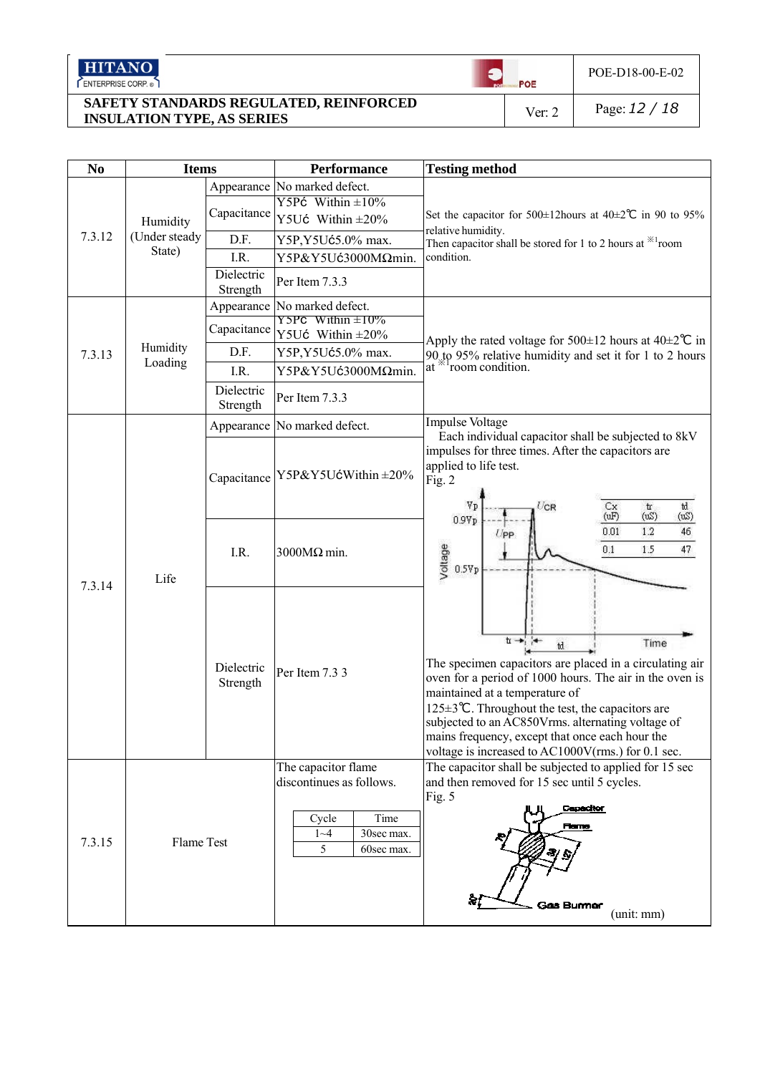HITANO

**SAFETY STANDARDS REGULATED, REINFORCED INSULATION TYPE, AS SERIES** Ver: 2 Page: *12 / 18*

 $\bullet$ 

 $POE$ 

POE-D18-00-E-02

| N <sub>0</sub> | <b>Items</b>            |                        | <b>Performance</b>                                                                                           | <b>Testing method</b>                                                                                                                                                                                                                                                                                                                                                                                            |  |
|----------------|-------------------------|------------------------|--------------------------------------------------------------------------------------------------------------|------------------------------------------------------------------------------------------------------------------------------------------------------------------------------------------------------------------------------------------------------------------------------------------------------------------------------------------------------------------------------------------------------------------|--|
|                |                         |                        | Appearance No marked defect.                                                                                 |                                                                                                                                                                                                                                                                                                                                                                                                                  |  |
|                |                         | Capacitance            | Y5Pć Within $\pm 10\%$                                                                                       | Set the capacitor for 500±12hours at 40±2 $\degree$ C in 90 to 95%                                                                                                                                                                                                                                                                                                                                               |  |
|                | Humidity                |                        | Y5Uć Within $\pm 20\%$                                                                                       | relative humidity.                                                                                                                                                                                                                                                                                                                                                                                               |  |
| 7.3.12         | (Under steady<br>State) | D.F.                   | Y5P, Y5Uć5.0% max.                                                                                           | Then capacitor shall be stored for 1 to 2 hours at $*1$ room                                                                                                                                                                                                                                                                                                                                                     |  |
|                |                         | I.R.                   | Y5P&Y5Uć3000MΩmin.                                                                                           | condition.                                                                                                                                                                                                                                                                                                                                                                                                       |  |
|                |                         | Dielectric<br>Strength | Per Item 7.3.3                                                                                               |                                                                                                                                                                                                                                                                                                                                                                                                                  |  |
|                |                         |                        | Appearance No marked defect.                                                                                 |                                                                                                                                                                                                                                                                                                                                                                                                                  |  |
|                |                         | Capacitance            | $Y5PC$ Within $\pm 10\%$<br>Y5Uć Within $\pm 20\%$                                                           | Apply the rated voltage for 500 $\pm$ 12 hours at 40 $\pm$ 2°C in                                                                                                                                                                                                                                                                                                                                                |  |
| 7.3.13         | Humidity<br>Loading     | D.F.                   | Y5P, Y5Uć5.0% max.                                                                                           | 90 to 95% relative humidity and set it for 1 to 2 hours                                                                                                                                                                                                                                                                                                                                                          |  |
|                |                         | I.R.                   | Y5P&Y5Uć3000MΩmin.                                                                                           | at $*1$ room condition.                                                                                                                                                                                                                                                                                                                                                                                          |  |
|                |                         | Dielectric<br>Strength | Per Item 7.3.3                                                                                               |                                                                                                                                                                                                                                                                                                                                                                                                                  |  |
|                |                         |                        | Appearance No marked defect.                                                                                 | Impulse Voltage<br>Each individual capacitor shall be subjected to 8kV                                                                                                                                                                                                                                                                                                                                           |  |
| 7.3.14         | Life                    |                        | Capacitance   Y5P&Y5UćWithin ±20%                                                                            | impulses for three times. After the capacitors are<br>applied to life test.<br>Fig. 2<br>$U$ CR<br>Vp<br>$\mathbf{t}$<br>td<br>Cx<br>(uF)<br>(wS)<br>(wS)<br>0.9Vp                                                                                                                                                                                                                                               |  |
|                |                         | I.R.                   | $3000M\Omega$ min.                                                                                           | 46<br>0.01<br>1.2<br>$U_{\text{PP}}$<br>Voltage<br>0.1<br>1.5<br>47<br>0.5Vp                                                                                                                                                                                                                                                                                                                                     |  |
|                |                         | Dielectric<br>Strength | Per Item 7.3 3                                                                                               | $t \rightarrow t$<br>Time<br>td.<br>The specimen capacitors are placed in a circulating air<br>oven for a period of 1000 hours. The air in the oven is<br>maintained at a temperature of<br>125 $\pm$ 3°C. Throughout the test, the capacitors are<br>subjected to an AC850Vrms. alternating voltage of<br>mains frequency, except that once each hour the<br>voltage is increased to AC1000V(rms.) for 0.1 sec. |  |
| 7.3.15         | Flame Test              |                        | The capacitor flame<br>discontinues as follows.<br>Time<br>Cycle<br>$1 - 4$<br>30sec max.<br>5<br>60sec max. | The capacitor shall be subjected to applied for 15 sec<br>and then removed for 15 sec until 5 cycles.<br>Fig. 5<br>Capacitor<br><b>Flame</b><br><b>Gas Burmer</b><br>(unit: mm)                                                                                                                                                                                                                                  |  |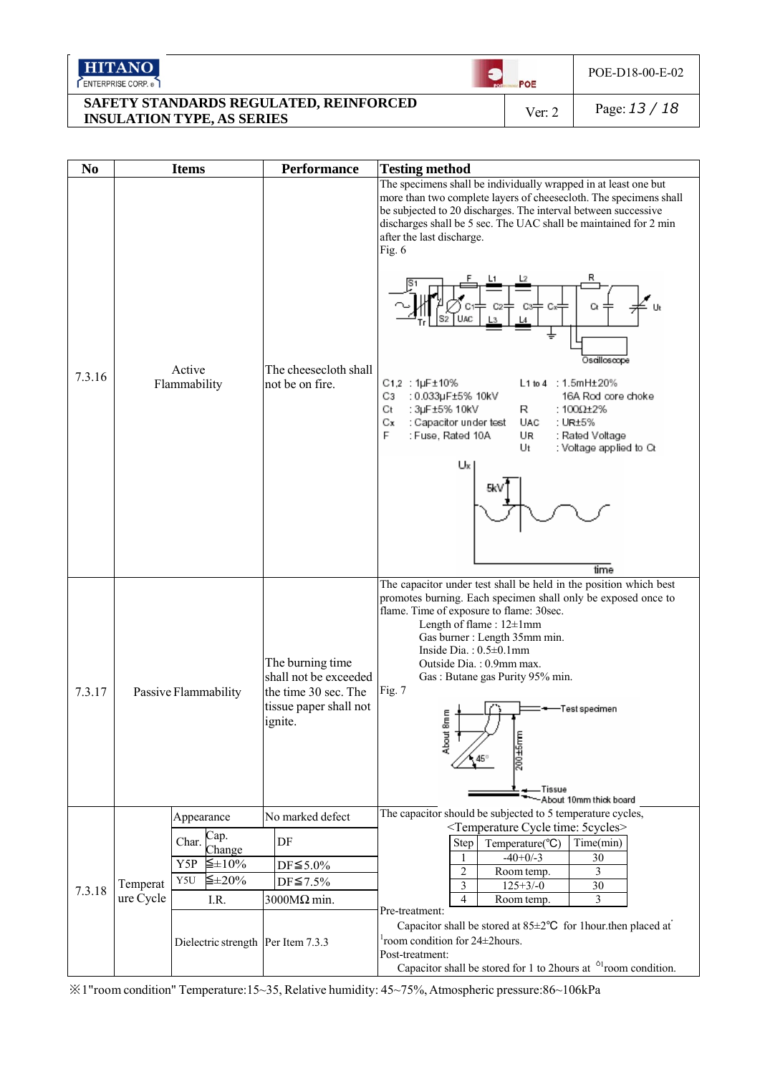| <b>HITANO</b><br>ENTERPRISE CORP.                                           | POE    | POE-D18-00-E-02 |
|-----------------------------------------------------------------------------|--------|-----------------|
| SAFETY STANDARDS REGULATED, REINFORCED<br><b>INSULATION TYPE, AS SERIES</b> | Ver: 2 | Page: $13/18$   |

| N <sub>0</sub> |                       | <b>Items</b>                                                                     | <b>Performance</b>                                                                                     | <b>Testing method</b>                                                                                                                                                                                                                                                                                                                                                                                                                                                                                                                                                                                                                             |
|----------------|-----------------------|----------------------------------------------------------------------------------|--------------------------------------------------------------------------------------------------------|---------------------------------------------------------------------------------------------------------------------------------------------------------------------------------------------------------------------------------------------------------------------------------------------------------------------------------------------------------------------------------------------------------------------------------------------------------------------------------------------------------------------------------------------------------------------------------------------------------------------------------------------------|
| 7.3.16         |                       | Active<br>Flammability                                                           | The cheesecloth shall<br>not be on fire.                                                               | The specimens shall be individually wrapped in at least one but<br>more than two complete layers of cheesecloth. The specimens shall<br>be subjected to 20 discharges. The interval between successive<br>discharges shall be 5 sec. The UAC shall be maintained for 2 min<br>after the last discharge.<br>Fig. 6<br>Ct<br>Osailloscope<br>C1,2 : 1µF±10%<br>$L1$ to $4$ : 1.5mH $\pm$ 20%<br>Cз<br>: 0.033µF±5% 10kV<br>16A Rod core choke<br>Ct<br>: 3µF±5% 10kV<br>R<br>: 100 $\Omega$ +2%<br>Сx<br>: Capacitor under test<br>UAC<br>. UR±5%<br>F<br>: Fuse, Rated 10A<br>UR<br>: Rated Voltage<br>Ut<br>: Voltage applied to Ct<br>Ux<br>time |
| 7.3.17         | Passive Flammability  |                                                                                  | The burning time<br>shall not be exceeded<br>the time 30 sec. The<br>tissue paper shall not<br>ignite. | The capacitor under test shall be held in the position which best<br>promotes burning. Each specimen shall only be exposed once to<br>flame. Time of exposure to flame: 30sec.<br>Length of flame: 12±1mm<br>Gas burner : Length 35mm min.<br>Inside Dia.: $0.5 \pm 0.1$ mm<br>Outside Dia.: 0.9mm max.<br>Gas: Butane gas Purity 95% min.<br>Fig. 7<br>Test specimen<br>am<br>m<br>About<br>200±5mm<br>— Tissue<br>-About 10mm thick board                                                                                                                                                                                                       |
|                |                       | Appearance                                                                       | No marked defect                                                                                       | The capacitor should be subjected to 5 temperature cycles,                                                                                                                                                                                                                                                                                                                                                                                                                                                                                                                                                                                        |
| 7.3.18         | Temperat<br>ure Cycle | Cap.<br>Char.<br>Change<br>Y5P $\leq \pm 10\%$<br>$\leq \pm 20\%$<br>Y5U<br>I.R. | DF<br>$DF \leq 5.0\%$<br>$DF \le 7.5\%$<br>$3000M\Omega$ min.                                          | <temperature 5cycles="" cycle="" time:=""><br/>Temperature(°C)<br/>Time(min)<br/>Step<br/><math>-40+0/-3</math><br/>1<br/>30<br/>Room temp.<br/>2<br/>3<br/>3<br/><math>125 + 3/-0</math><br/>30<br/>4<br/>3<br/>Room temp.</temperature>                                                                                                                                                                                                                                                                                                                                                                                                         |
|                |                       | Dielectric strength Per Item 7.3.3                                               |                                                                                                        | Pre-treatment:<br>Capacitor shall be stored at $85 \pm 2$ °C for 1 hour then placed at<br>room condition for 24±2hours.<br>Post-treatment:<br>Capacitor shall be stored for 1 to 2 hours at $\delta$ <sup>1</sup> room condition.                                                                                                                                                                                                                                                                                                                                                                                                                 |

*※*1"room condition" Temperature:15~35, Relative humidity: 45~75%, Atmospheric pressure:86~106kPa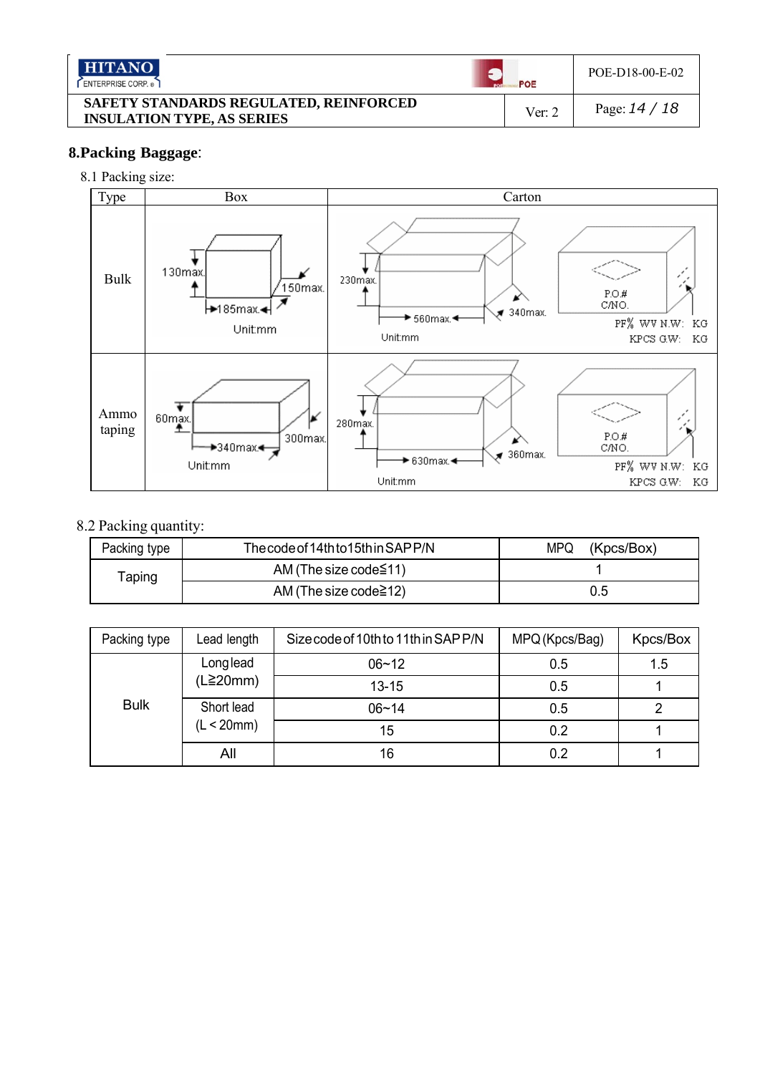| <b>HITANO</b><br>ENTERPRISE CORP.                                           | POE    | POE-D18-00-E-02 |
|-----------------------------------------------------------------------------|--------|-----------------|
| SAFETY STANDARDS REGULATED, REINFORCED<br><b>INSULATION TYPE, AS SERIES</b> | Ver: 2 | Page: $14/18$   |

## **8.Packing Baggage**:

## 8.1 Packing size:



## 8.2 Packing quantity:

| Packing type | The code of 14th to 15th in SAP P/N | MPQ.<br>(Kpcs/Box) |
|--------------|-------------------------------------|--------------------|
| Taping       | AM (The size code $\leq$ 11)        |                    |
|              | AM (The size code $\geq$ 12)        | 0.5                |

| Packing type | Lead length                     | Size code of 10th to 11th in SAP P/N | MPQ (Kpcs/Bag) | Kpcs/Box |
|--------------|---------------------------------|--------------------------------------|----------------|----------|
|              | Longlead                        | $06 - 12$                            | 0.5            | 1.5      |
|              | $(L \geq 20mm)$                 | $13 - 15$                            | 0.5            |          |
| <b>Bulk</b>  | Short lead<br>(L < 20mm)<br>All | $06 - 14$                            | 0.5            |          |
|              |                                 | 15                                   | 0.2            |          |
|              |                                 | 16                                   | 0.2            |          |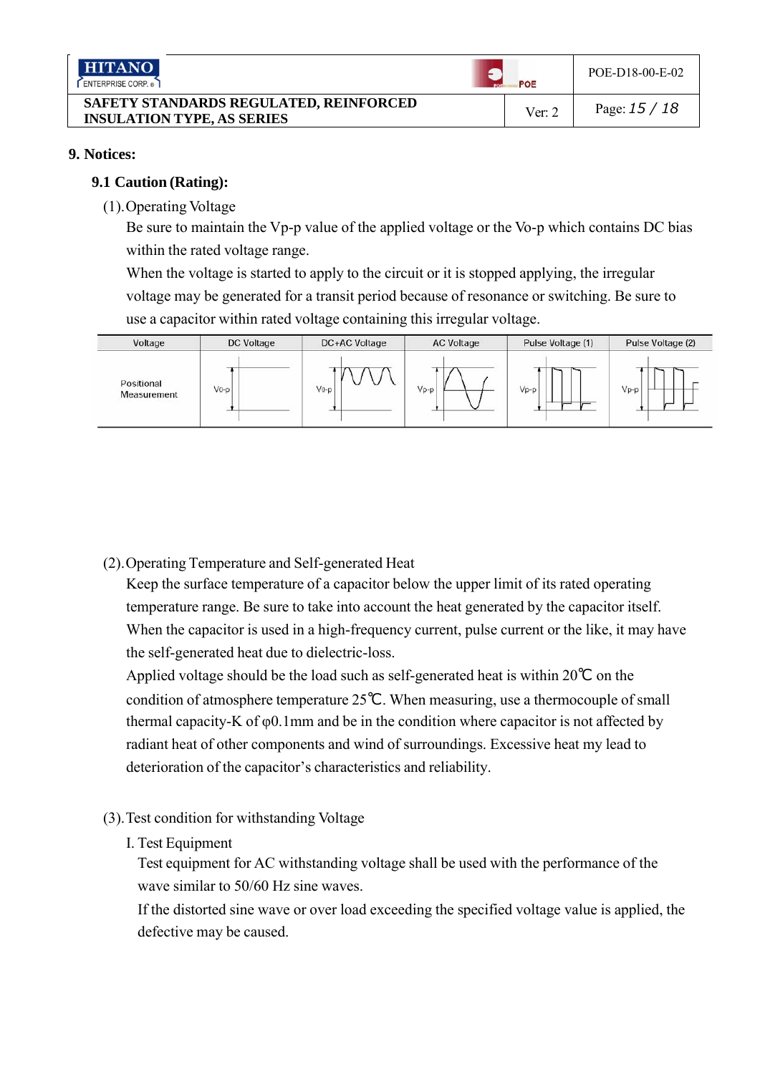| <b>HITANO</b><br>ENTERPRISE CORP.                                           | POE    | POE-D18-00-E-02 |
|-----------------------------------------------------------------------------|--------|-----------------|
| SAFETY STANDARDS REGULATED, REINFORCED<br><b>INSULATION TYPE, AS SERIES</b> | Ver: 2 | Page: $15/18$   |

## **9. Notices:**

## **9.1 Caution (Rating):**

(1). Operating Voltage

Be sure to maintain the Vp-p value of the applied voltage or the Vo-p which contains DC bias within the rated voltage range.

When the voltage is started to apply to the circuit or it is stopped applying, the irregular voltage may be generated for a transit period because of resonance or switching. Be sure to use a capacitor within rated voltage containing this irregular voltage.



(2). Operating Temperature and Self-generated Heat

Keep the surface temperature of a capacitor below the upper limit of its rated operating temperature range. Be sure to take into account the heat generated by the capacitor itself. When the capacitor is used in a high-frequency current, pulse current or the like, it may have the self-generated heat due to dielectric-loss.

Applied voltage should be the load such as self-generated heat is within 20*℃* on the condition of atmosphere temperature 25*℃*. When measuring, use a thermocouple of small thermal capacity-K of φ0.1mm and be in the condition where capacitor is not affected by radiant heat of other components and wind of surroundings. Excessive heat my lead to deterioration of the capacitor's characteristics and reliability.

- (3). Test condition for withstanding Voltage
	- I. Test Equipment

Test equipment for AC withstanding voltage shall be used with the performance of the wave similar to 50/60 Hz sine waves.

If the distorted sine wave or over load exceeding the specified voltage value is applied, the defective may be caused.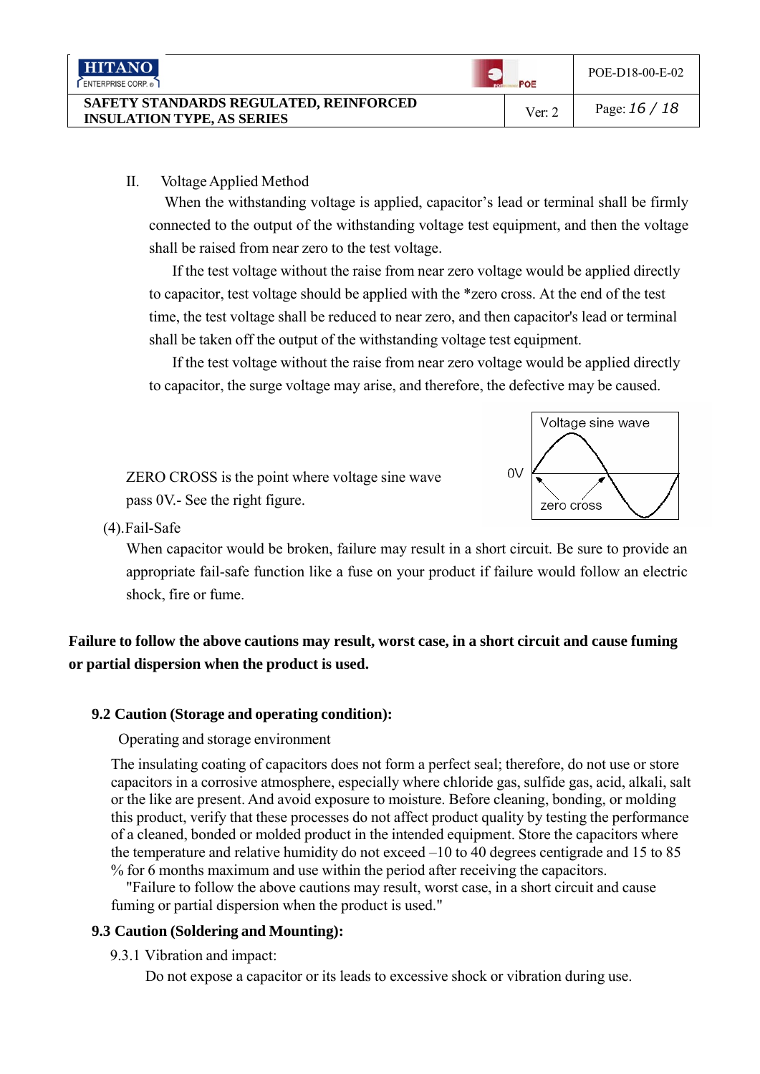| <b>HITANO</b><br>ENTERPRISE CORP.                                           | POE    | POE-D18-00-E-02 |
|-----------------------------------------------------------------------------|--------|-----------------|
| SAFETY STANDARDS REGULATED, REINFORCED<br><b>INSULATION TYPE, AS SERIES</b> | Ver: 2 | Page: $16/18$   |

## II. Voltage Applied Method

When the withstanding voltage is applied, capacitor's lead or terminal shall be firmly connected to the output of the withstanding voltage test equipment, and then the voltage shall be raised from near zero to the test voltage.

If the test voltage without the raise from near zero voltage would be applied directly to capacitor, test voltage should be applied with the \*zero cross. At the end of the test time, the test voltage shall be reduced to near zero, and then capacitor's lead or terminal shall be taken off the output of the withstanding voltage test equipment.

If the test voltage without the raise from near zero voltage would be applied directly to capacitor, the surge voltage may arise, and therefore, the defective may be caused.



(4). Fail-Safe

When capacitor would be broken, failure may result in a short circuit. Be sure to provide an appropriate fail-safe function like a fuse on your product if failure would follow an electric shock, fire or fume.

## **Failure to follow the above cautions may result, worst case, in a short circuit and cause fuming or partial dispersion when the product is used.**

## **9.2 Caution (Storage and operating condition):**

Operating and storage environment

The insulating coating of capacitors does not form a perfect seal; therefore, do not use or store capacitors in a corrosive atmosphere, especially where chloride gas, sulfide gas, acid, alkali, salt or the like are present. And avoid exposure to moisture. Before cleaning, bonding, or molding this product, verify that these processes do not affect product quality by testing the performance of a cleaned, bonded or molded product in the intended equipment. Store the capacitors where the temperature and relative humidity do not exceed –10 to 40 degrees centigrade and 15 to 85 % for 6 months maximum and use within the period after receiving the capacitors.

"Failure to follow the above cautions may result, worst case, in a short circuit and cause fuming or partial dispersion when the product is used."

## **9.3 Caution (Soldering and Mounting):**

9.3.1 Vibration and impact:

Do not expose a capacitor or its leads to excessive shock or vibration during use.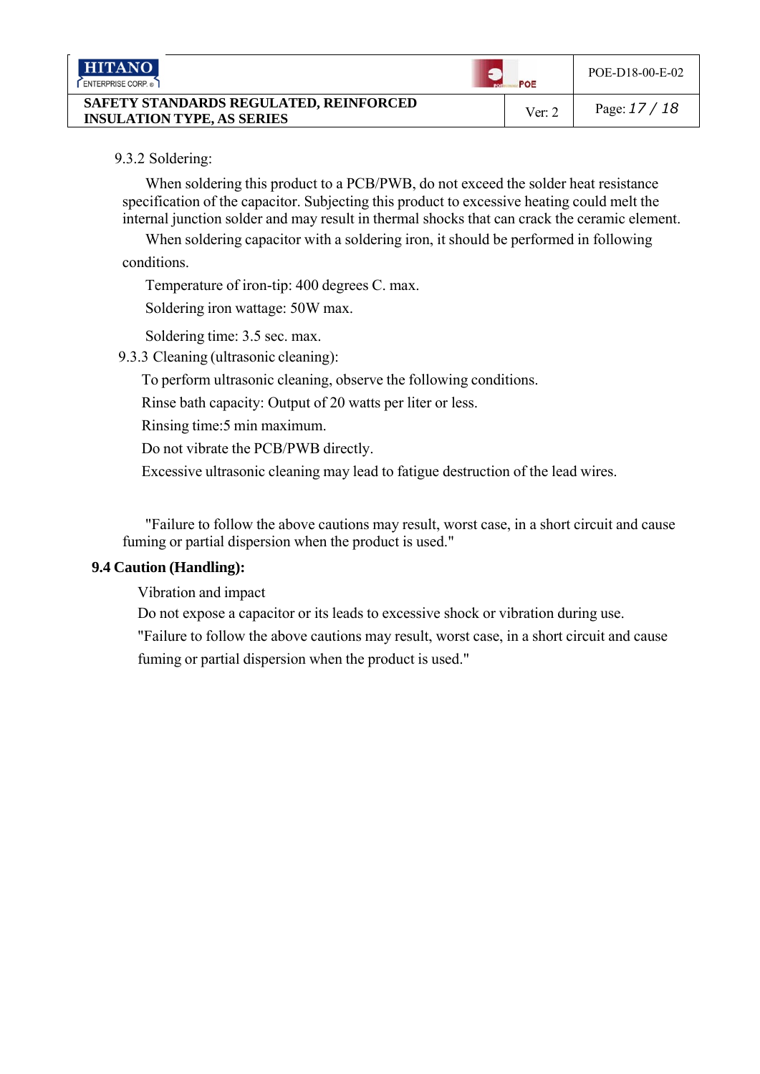| <b>HITANO</b><br>ENTERPRISE CORP.                                           | POE      | POE-D18-00-E-02 |
|-----------------------------------------------------------------------------|----------|-----------------|
| SAFETY STANDARDS REGULATED, REINFORCED<br><b>INSULATION TYPE, AS SERIES</b> | Ver: $2$ | Page: $17/18$   |

## 9.3.2 Soldering:

When soldering this product to a PCB/PWB, do not exceed the solder heat resistance specification of the capacitor. Subjecting this product to excessive heating could melt the internal junction solder and may result in thermal shocks that can crack the ceramic element.

When soldering capacitor with a soldering iron, it should be performed in following conditions.

Temperature of iron-tip: 400 degrees C. max.

Soldering iron wattage: 50W max.

Soldering time: 3.5 sec. max.

9.3.3 Cleaning (ultrasonic cleaning):

To perform ultrasonic cleaning, observe the following conditions.

Rinse bath capacity: Output of 20 watts per liter or less.

Rinsing time:5 min maximum.

Do not vibrate the PCB/PWB directly.

Excessive ultrasonic cleaning may lead to fatigue destruction of the lead wires.

"Failure to follow the above cautions may result, worst case, in a short circuit and cause fuming or partial dispersion when the product is used."

## **9.4 Caution (Handling):**

Vibration and impact

Do not expose a capacitor or its leads to excessive shock or vibration during use.

"Failure to follow the above cautions may result, worst case, in a short circuit and cause fuming or partial dispersion when the product is used."